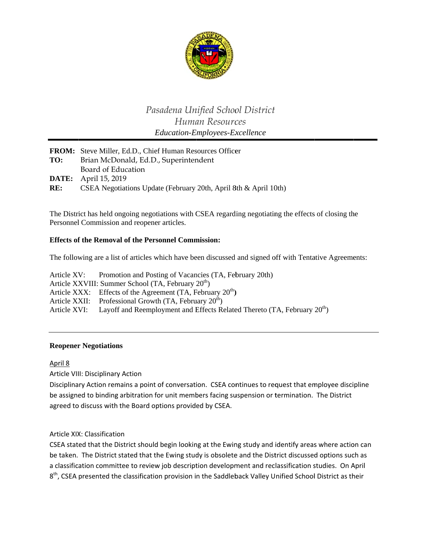

# Pasadena Unified School District Human Resources Education-Employees-Excellence

|     | <b>FROM:</b> Steve Miller, Ed.D., Chief Human Resources Officer  |
|-----|------------------------------------------------------------------|
| TO: | Brian McDonald, Ed.D., Superintendent                            |
|     | Board of Education                                               |
|     | <b>DATE:</b> April 15, 2019                                      |
| RE: | CSEA Negotiations Update (February 20th, April 8th & April 10th) |

The District has held ongoing negotiations with CSEA regarding negotiating the effects of closing the Personnel Commission and reopener articles.

### **Effects of the Removal of the Personnel Commission:**

The following are a list of articles which have been discussed and signed off with Tentative Agreements:

Promotion and Posting of Vacancies (TA, February 20th) Article XV: Article XXVIII: Summer School (TA, February 20<sup>th</sup>) Article XXX: Effects of the Agreement  $(TA,$  February  $20<sup>th</sup>$ ) Professional Growth  $(TA, Februar 20<sup>th</sup>)$ Article XXII: Article XVI: Layoff and Reemployment and Effects Related Thereto (TA, February 20<sup>th</sup>)

#### **Reopener Negotiations**

April 8

Article VIII: Disciplinary Action

Disciplinary Action remains a point of conversation. CSEA continues to request that employee discipline be assigned to binding arbitration for unit members facing suspension or termination. The District agreed to discuss with the Board options provided by CSEA.

Article XIX: Classification

CSEA stated that the District should begin looking at the Ewing study and identify areas where action can be taken. The District stated that the Ewing study is obsolete and the District discussed options such as a classification committee to review job description development and reclassification studies. On April 8<sup>th</sup>, CSEA presented the classification provision in the Saddleback Valley Unified School District as their